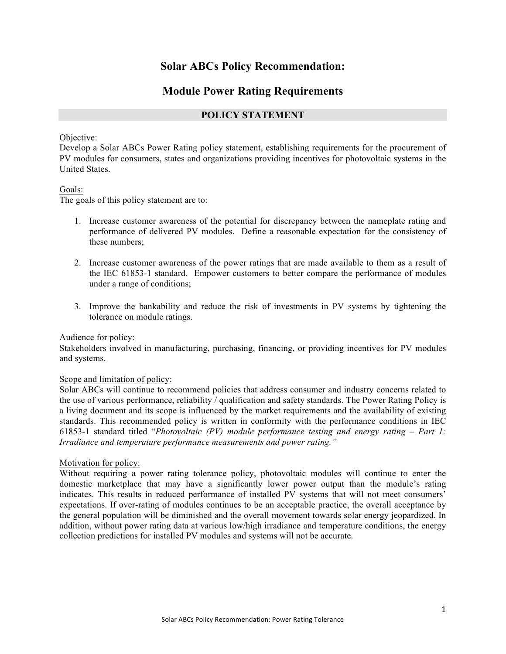# **Solar ABCs Policy Recommendation:**

# **Module Power Rating Requirements**

# **POLICY STATEMENT**

### Objective:

Develop a Solar ABCs Power Rating policy statement, establishing requirements for the procurement of PV modules for consumers, states and organizations providing incentives for photovoltaic systems in the United States.

#### Goals:

The goals of this policy statement are to:

- 1. Increase customer awareness of the potential for discrepancy between the nameplate rating and performance of delivered PV modules. Define a reasonable expectation for the consistency of these numbers;
- 2. Increase customer awareness of the power ratings that are made available to them as a result of the IEC 61853-1 standard. Empower customers to better compare the performance of modules under a range of conditions;
- 3. Improve the bankability and reduce the risk of investments in PV systems by tightening the tolerance on module ratings.

#### Audience for policy:

Stakeholders involved in manufacturing, purchasing, financing, or providing incentives for PV modules and systems.

#### Scope and limitation of policy:

Solar ABCs will continue to recommend policies that address consumer and industry concerns related to the use of various performance, reliability / qualification and safety standards. The Power Rating Policy is a living document and its scope is influenced by the market requirements and the availability of existing standards. This recommended policy is written in conformity with the performance conditions in IEC 61853-1 standard titled "*Photovoltaic (PV) module performance testing and energy rating – Part 1: Irradiance and temperature performance measurements and power rating."*

#### Motivation for policy:

Without requiring a power rating tolerance policy, photovoltaic modules will continue to enter the domestic marketplace that may have a significantly lower power output than the module's rating indicates. This results in reduced performance of installed PV systems that will not meet consumers' expectations. If over-rating of modules continues to be an acceptable practice, the overall acceptance by the general population will be diminished and the overall movement towards solar energy jeopardized. In addition, without power rating data at various low/high irradiance and temperature conditions, the energy collection predictions for installed PV modules and systems will not be accurate.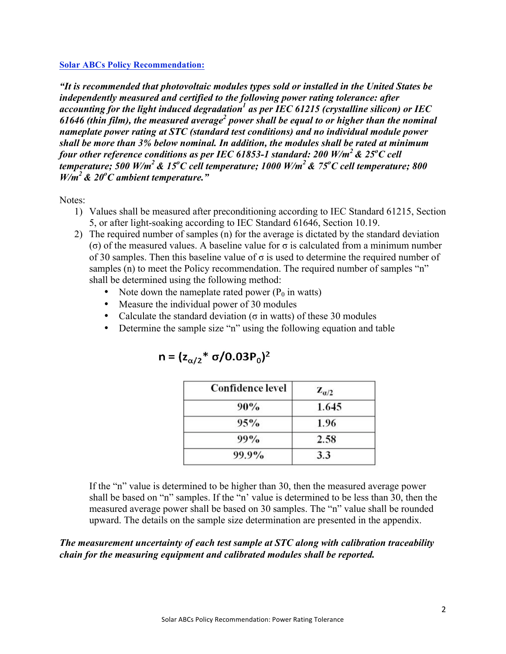#### **Solar ABCs Policy Recommendation:**

*"It is recommended that photovoltaic modules types sold or installed in the United States be independently measured and certified to the following power rating tolerance: after accounting for the light induced degradation1 as per IEC 61215 (crystalline silicon) or IEC 61646 (thin film), the measured average2 power shall be equal to or higher than the nominal nameplate power rating at STC (standard test conditions) and no individual module power shall be more than 3% below nominal. In addition, the modules shall be rated at minimum four other reference conditions as per IEC 61853-1 standard: 200 W/m2 & 25o C cell temperature; 500 W/m<sup>2</sup> & 15<sup>o</sup>C cell temperature; 1000 W/m<sup>2</sup> & 75<sup>o</sup>C cell temperature; 800 W*/m<sup>2</sup> & 20<sup>o</sup>C ambient *temperature.*"

Notes:

- 1) Values shall be measured after preconditioning according to IEC Standard 61215, Section 5, or after light-soaking according to IEC Standard 61646, Section 10.19.
- 2) The required number of samples (n) for the average is dictated by the standard deviation (σ) of the measured values. A baseline value for σ is calculated from a minimum number of 30 samples. Then this baseline value of  $\sigma$  is used to determine the required number of samples (n) to meet the Policy recommendation. The required number of samples "n" shall be determined using the following method:
	- Note down the nameplate rated power  $(P_0 \text{ in watts})$
	- Measure the individual power of 30 modules
	- Calculate the standard deviation ( $\sigma$  in watts) of these 30 modules
	- Determine the sample size "n" using the following equation and table

| <b>Confidence level</b> | $Z_{q/2}$ |
|-------------------------|-----------|
| 90%                     | 1.645     |
| 95%                     | 1.96      |
| 99%                     | 2.58      |
| 99.9%                   | 3.3       |

$$
n = (z_{\alpha/2}^* \sigma / 0.03 P_0)^2
$$

If the "n" value is determined to be higher than 30, then the measured average power shall be based on "n" samples. If the "n' value is determined to be less than 30, then the measured average power shall be based on 30 samples. The "n" value shall be rounded upward. The details on the sample size determination are presented in the appendix.

# *The measurement uncertainty of each test sample at STC along with calibration traceability chain for the measuring equipment and calibrated modules shall be reported.*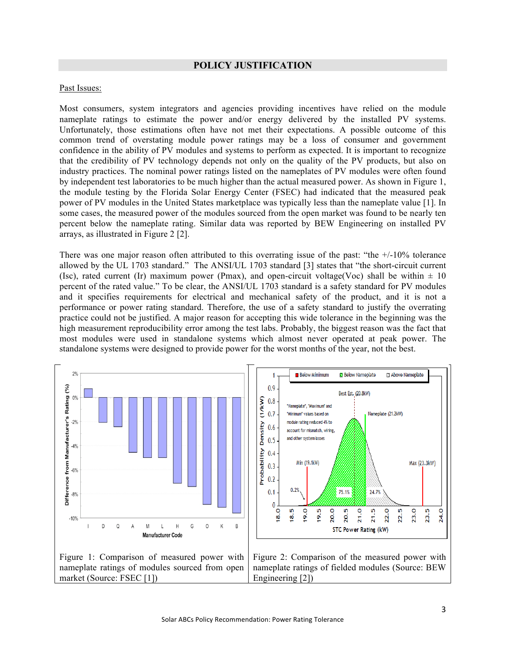### **POLICY JUSTIFICATION**

#### Past Issues:

Most consumers, system integrators and agencies providing incentives have relied on the module nameplate ratings to estimate the power and/or energy delivered by the installed PV systems. Unfortunately, those estimations often have not met their expectations. A possible outcome of this common trend of overstating module power ratings may be a loss of consumer and government confidence in the ability of PV modules and systems to perform as expected. It is important to recognize that the credibility of PV technology depends not only on the quality of the PV products, but also on industry practices. The nominal power ratings listed on the nameplates of PV modules were often found by independent test laboratories to be much higher than the actual measured power. As shown in Figure 1, the module testing by the Florida Solar Energy Center (FSEC) had indicated that the measured peak power of PV modules in the United States marketplace was typically less than the nameplate value [1]. In some cases, the measured power of the modules sourced from the open market was found to be nearly ten percent below the nameplate rating. Similar data was reported by BEW Engineering on installed PV arrays, as illustrated in Figure 2 [2].

There was one major reason often attributed to this overrating issue of the past: "the  $+/-10\%$  tolerance allowed by the UL 1703 standard." The ANSI/UL 1703 standard [3] states that "the short-circuit current (Isc), rated current (Ir) maximum power (Pmax), and open-circuit voltage(Voc) shall be within  $\pm$  10 percent of the rated value." To be clear, the ANSI/UL 1703 standard is a safety standard for PV modules and it specifies requirements for electrical and mechanical safety of the product, and it is not a performance or power rating standard. Therefore, the use of a safety standard to justify the overrating practice could not be justified. A major reason for accepting this wide tolerance in the beginning was the high measurement reproducibility error among the test labs. Probably, the biggest reason was the fact that most modules were used in standalone systems which almost never operated at peak power. The standalone systems were designed to provide power for the worst months of the year, not the best.

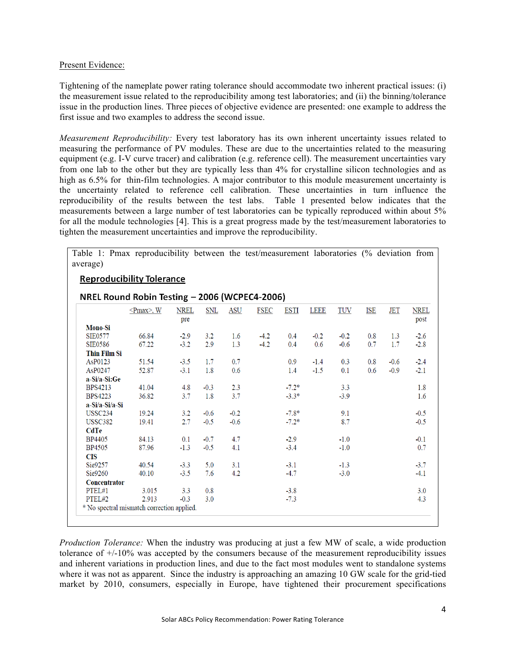#### Present Evidence:

Tightening of the nameplate power rating tolerance should accommodate two inherent practical issues: (i) the measurement issue related to the reproducibility among test laboratories; and (ii) the binning/tolerance issue in the production lines. Three pieces of objective evidence are presented: one example to address the first issue and two examples to address the second issue.

*Measurement Reproducibility:* Every test laboratory has its own inherent uncertainty issues related to measuring the performance of PV modules. These are due to the uncertainties related to the measuring equipment (e.g. I-V curve tracer) and calibration (e.g. reference cell). The measurement uncertainties vary from one lab to the other but they are typically less than 4% for crystalline silicon technologies and as high as 6.5% for thin-film technologies. A major contributor to this module measurement uncertainty is the uncertainty related to reference cell calibration. These uncertainties in turn influence the reproducibility of the results between the test labs. Table 1 presented below indicates that the measurements between a large number of test laboratories can be typically reproduced within about 5% for all the module technologies [4]. This is a great progress made by the test/measurement laboratories to tighten the measurement uncertainties and improve the reproducibility.

Table 1: Pmax reproducibility between the test/measurement laboratories (% deviation from average)

## **Reproducibility Tolerance**

|                     | $\leq$ Pmax>, W                            | <b>NREL</b><br>pre | <u>SNL</u> | ASU    | <b>FSEC</b> | <b>ESTI</b>      | <b>LEEE</b> | <b>TUV</b> | <b>ISE</b> | <b>JET</b> | <b>NREL</b><br>post |
|---------------------|--------------------------------------------|--------------------|------------|--------|-------------|------------------|-------------|------------|------------|------------|---------------------|
| <b>Mono-Si</b>      |                                            |                    |            |        |             |                  |             |            |            |            |                     |
| <b>SIE0577</b>      | 66.84                                      | $-2.9$             | 3.2        | 1.6    | $-4.2$      | 0.4              | $-0.2$      | $-0.2$     | 0.8        | 1.3        | $-2.6$              |
| <b>SIE0586</b>      | 67.22                                      | $-3.2$             | 2.9        | 1.3    | $-4.2$      | 0.4              | 0.6         | $-0.6$     | 0.7        | $1.7\,$    | $-2.8$              |
| <b>Thin Film Si</b> |                                            |                    |            |        |             |                  |             |            |            |            |                     |
| AsP0123             | 51.54                                      | $-3.5$             | 1.7        | 0.7    |             | 0.9 <sub>o</sub> | $-1.4$      | 0.3        | 0.8        | $-0.6$     | $-2.4$              |
| AsP0247             | 52.87                                      | $-3.1$             | 1.8        | 0.6    |             | 1.4              | $-1.5$      | 0.1        | 0.6        | $-0.9$     | $-2.1$              |
| a-Si/a-Si:Ge        |                                            |                    |            |        |             |                  |             |            |            |            |                     |
| <b>BPS4213</b>      | 41.04                                      | 4.8                | $-0.3$     | 2.3    |             | $-7.2*$          |             | 3.3        |            |            | 1.8                 |
| <b>BPS4223</b>      | 36.82                                      | 3.7                | 1.8        | 3.7    |             | $-3.3*$          |             | $-3.9$     |            |            | 1.6                 |
| a-Si/a-Si/a-Si      |                                            |                    |            |        |             |                  |             |            |            |            |                     |
| <b>USSC234</b>      | 19.24                                      | 3.2                | $-0.6$     | $-0.2$ |             | $-7.8*$          |             | 9.1        |            |            | $-0.5$              |
| <b>USSC382</b>      | 19.41                                      | 2.7                | $-0.5$     | $-0.6$ |             | $-7.2*$          |             | 8.7        |            |            | $-0.5$              |
| <b>CdTe</b>         |                                            |                    |            |        |             |                  |             |            |            |            |                     |
| <b>BP4405</b>       | 84.13                                      | 0.1                | $-0.7$     | 4.7    |             | $-2.9$           |             | $-1.0$     |            |            | $-0.1$              |
| <b>BP4505</b>       | 87.96                                      | $-1.3$             | $-0.5$     | 4.1    |             | $-3.4$           |             | $-1.0$     |            |            | 0.7                 |
| <b>CIS</b>          |                                            |                    |            |        |             |                  |             |            |            |            |                     |
| Sie9257             | 40.54                                      | $-3.3$             | 5.0        | 3.1    |             | $-3.1$           |             | $-1.3$     |            |            | $-3.7$              |
| Sie9260             | 40.10                                      | $-3.5$             | 7.6        | 4.2    |             | $-4.7$           |             | $-3.0$     |            |            | $-4.1$              |
| <b>Concentrator</b> |                                            |                    |            |        |             |                  |             |            |            |            |                     |
| PTEL#1              | 3.015                                      | 3.3                | 0.8        |        |             | $-3.8$           |             |            |            |            | 3.0                 |
| PTEL#2              | 2.913                                      | $-0.3$             | 3.0        |        |             | $-7.3$           |             |            |            |            | 4.3                 |
|                     | * No spectral mismatch correction applied. |                    |            |        |             |                  |             |            |            |            |                     |

*Production Tolerance:* When the industry was producing at just a few MW of scale, a wide production tolerance of +/-10% was accepted by the consumers because of the measurement reproducibility issues and inherent variations in production lines, and due to the fact most modules went to standalone systems where it was not as apparent. Since the industry is approaching an amazing 10 GW scale for the grid-tied market by 2010, consumers, especially in Europe, have tightened their procurement specifications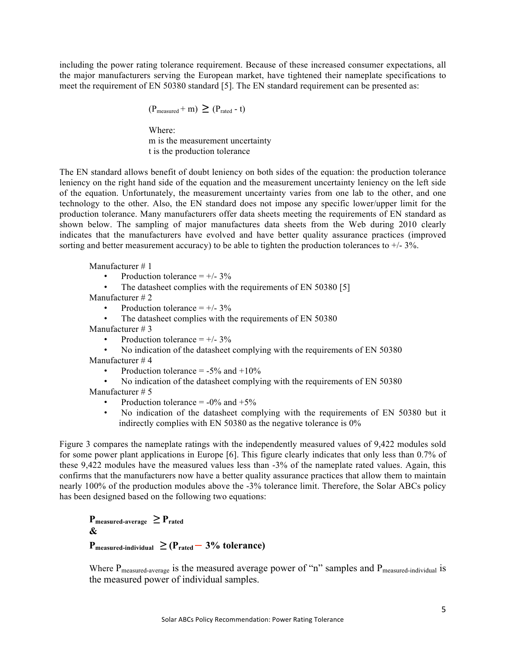including the power rating tolerance requirement. Because of these increased consumer expectations, all the major manufacturers serving the European market, have tightened their nameplate specifications to meet the requirement of EN 50380 standard [5]. The EN standard requirement can be presented as:

$$
(P_{\text{measured}} + m) \ge (P_{\text{rated}} - t)
$$

Where: m is the measurement uncertainty t is the production tolerance

The EN standard allows benefit of doubt leniency on both sides of the equation: the production tolerance leniency on the right hand side of the equation and the measurement uncertainty leniency on the left side of the equation. Unfortunately, the measurement uncertainty varies from one lab to the other, and one technology to the other. Also, the EN standard does not impose any specific lower/upper limit for the production tolerance. Many manufacturers offer data sheets meeting the requirements of EN standard as shown below. The sampling of major manufactures data sheets from the Web during 2010 clearly indicates that the manufacturers have evolved and have better quality assurance practices (improved sorting and better measurement accuracy) to be able to tighten the production tolerances to  $+/- 3\%$ .

Manufacturer # 1

- Production tolerance  $= +/- 3\%$
- The datasheet complies with the requirements of EN 50380 [5]

Manufacturer # 2

- Production tolerance  $= +/- 3\%$
- The datasheet complies with the requirements of EN 50380

Manufacturer # 3

- Production tolerance  $= +/- 3\%$
- No indication of the datasheet complying with the requirements of EN 50380

Manufacturer # 4

- Production tolerance  $= -5\%$  and  $+10\%$
- No indication of the datasheet complying with the requirements of EN 50380

Manufacturer # 5

- Production tolerance  $= -0\%$  and  $+5\%$
- No indication of the datasheet complying with the requirements of EN 50380 but it indirectly complies with EN 50380 as the negative tolerance is 0%

Figure 3 compares the nameplate ratings with the independently measured values of 9,422 modules sold for some power plant applications in Europe [6]. This figure clearly indicates that only less than 0.7% of these 9,422 modules have the measured values less than -3% of the nameplate rated values. Again, this confirms that the manufacturers now have a better quality assurance practices that allow them to maintain nearly 100% of the production modules above the -3% tolerance limit. Therefore, the Solar ABCs policy has been designed based on the following two equations:

```
{\bf P}_{\text{measured-average}} \geq {\bf P}_{\text{rated}}&
P_{measured-individual} \geq (P_{rated} - 3\% \text{ tolerance})
```
Where  $P_{measured-average}$  is the measured average power of "n" samples and  $P_{measured-individual}$  is the measured power of individual samples.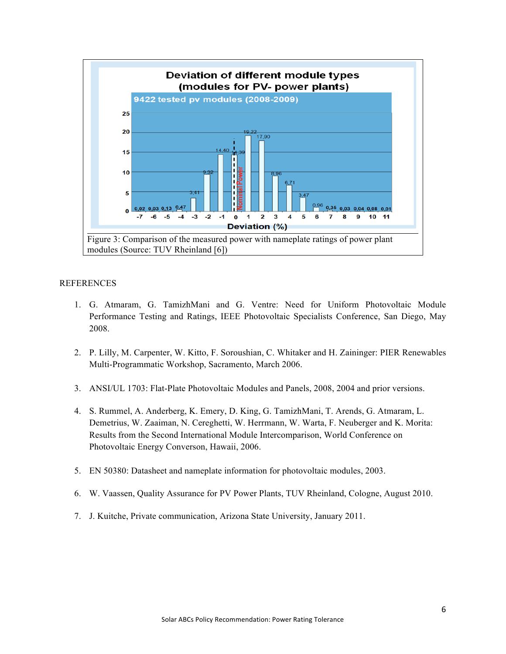

#### **REFERENCES**

- 1. G. Atmaram, G. TamizhMani and G. Ventre: Need for Uniform Photovoltaic Module Performance Testing and Ratings, IEEE Photovoltaic Specialists Conference, San Diego, May 2008.
- 2. P. Lilly, M. Carpenter, W. Kitto, F. Soroushian, C. Whitaker and H. Zaininger: PIER Renewables Multi-Programmatic Workshop, Sacramento, March 2006.
- 3. ANSI/UL 1703: Flat-Plate Photovoltaic Modules and Panels, 2008, 2004 and prior versions.
- 4. S. Rummel, A. Anderberg, K. Emery, D. King, G. TamizhMani, T. Arends, G. Atmaram, L. Demetrius, W. Zaaiman, N. Cereghetti, W. Herrmann, W. Warta, F. Neuberger and K. Morita: Results from the Second International Module Intercomparison, World Conference on Photovoltaic Energy Converson, Hawaii, 2006.
- 5. EN 50380: Datasheet and nameplate information for photovoltaic modules, 2003.
- 6. W. Vaassen, Quality Assurance for PV Power Plants, TUV Rheinland, Cologne, August 2010.
- 7. J. Kuitche, Private communication, Arizona State University, January 2011.